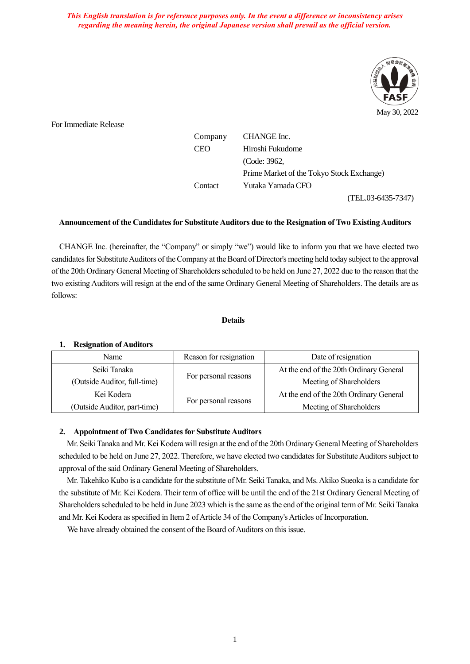*This English translation is for reference purposes only. In the event a difference or inconsistency arises regarding the meaning herein, the original Japanese version shall prevail as the official version.*



For Immediate Release

| Company | CHANGE Inc.                               |
|---------|-------------------------------------------|
| CEO     | Hiroshi Fukudome                          |
|         | (Code: 3962,                              |
|         | Prime Market of the Tokyo Stock Exchange) |
| Contact | Yutaka Yamada CFO                         |
|         |                                           |

(TEL.03-6435-7347)

## **Announcement of the Candidates for Substitute Auditors due to the Resignation of Two ExistingAuditors**

CHANGE Inc. (hereinafter, the "Company" or simply "we") would like to inform you that we have elected two candidates for Substitute Auditors of the Company at the Board of Director's meeting held today subject to the approval of the 20th Ordinary General Meeting of Shareholders scheduled to be held on June 27, 2022 due to the reason that the two existing Auditors will resign at the end of the same Ordinary General Meeting of Shareholders. The details are as follows:

## **Details**

## **1. Resignation of Auditors**

| Name                         | Reason for resignation | Date of resignation                     |
|------------------------------|------------------------|-----------------------------------------|
| Seiki Tanaka                 |                        | At the end of the 20th Ordinary General |
| (Outside Auditor, full-time) | For personal reasons   | Meeting of Shareholders                 |
| Kei Kodera                   |                        | At the end of the 20th Ordinary General |
| (Outside Auditor, part-time) | For personal reasons   | Meeting of Shareholders                 |

## **2. Appointment of Two Candidates for Substitute Auditors**

Mr. Seiki Tanaka and Mr. Kei Kodera will resign at the end of the 20th Ordinary General Meeting of Shareholders scheduled to be held on June 27, 2022. Therefore, we have elected two candidates for Substitute Auditors subject to approval of the said Ordinary General Meeting of Shareholders.

Mr. Takehiko Kubo is a candidate for the substitute of Mr. Seiki Tanaka, and Ms. Akiko Sueoka is a candidate for the substitute of Mr. Kei Kodera. Their term of office will be until the end of the 21st Ordinary General Meeting of Shareholders scheduled to be held in June 2023 which is the same as the end of the original term of Mr. Seiki Tanaka and Mr. Kei Kodera as specified in Item 2 of Article 34 of the Company's Articles of Incorporation.

We have already obtained the consent of the Board of Auditors on this issue.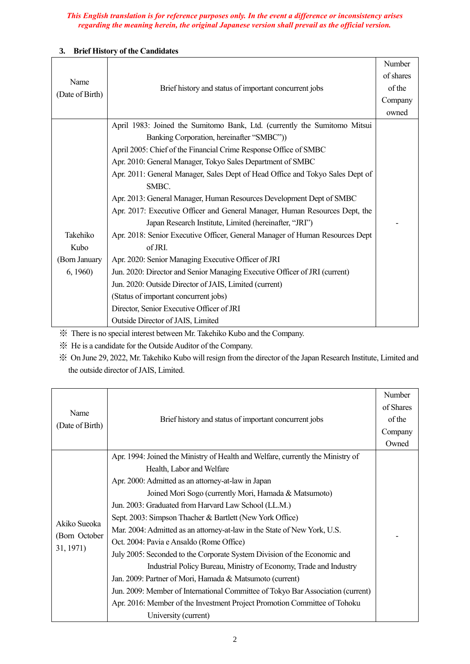## *This English translation is for reference purposes only. In the event a difference or inconsistency arises regarding the meaning herein, the original Japanese version shall prevail as the official version.*

## Name (Date of Birth) Brief history and status of important concurrent jobs Number of shares of the Company owned Takehiko Kubo (Born January 6, 1960) April 1983: Joined the Sumitomo Bank, Ltd. (currently the Sumitomo Mitsui Banking Corporation, hereinafter "SMBC")) April 2005: Chief of the Financial Crime Response Office of SMBC Apr. 2010: General Manager, Tokyo Sales Department of SMBC Apr. 2011: General Manager, Sales Dept of Head Office and Tokyo Sales Dept of SMBC. Apr. 2013: General Manager, Human Resources Development Dept of SMBC Apr. 2017: Executive Officer and General Manager, Human Resources Dept, the Japan Research Institute, Limited (hereinafter, "JRI") Apr. 2018: Senior Executive Officer, General Manager of Human Resources Dept of JRI. Apr. 2020: Senior Managing Executive Officer of JRI Jun. 2020: Director and Senior Managing Executive Officer of JRI (current) Jun. 2020: Outside Director of JAIS, Limited (current) (Status of important concurrent jobs) Director, Senior Executive Officer of JRI Outside Director of JAIS, Limited -

# **3. Brief History of the Candidates**

※ There is no special interest between Mr. Takehiko Kubo and the Company.

※ He is a candidate for the Outside Auditor of the Company.

※ On June 29, 2022, Mr. Takehiko Kubo will resign from the director of the Japan Research Institute, Limited and the outside director of JAIS, Limited.

| Name<br>(Date of Birth)                    |                                                                                 |           |
|--------------------------------------------|---------------------------------------------------------------------------------|-----------|
|                                            | Brief history and status of important concurrent jobs                           | of Shares |
|                                            |                                                                                 | of the    |
|                                            |                                                                                 | Company   |
|                                            |                                                                                 | Owned     |
| Akiko Sueoka<br>(Born October<br>31, 1971) | Apr. 1994: Joined the Ministry of Health and Welfare, currently the Ministry of |           |
|                                            | Health, Labor and Welfare                                                       |           |
|                                            | Apr. 2000: Admitted as an attorney-at-law in Japan                              |           |
|                                            | Joined Mori Sogo (currently Mori, Hamada & Matsumoto)                           |           |
|                                            | Jun. 2003: Graduated from Harvard Law School (LL.M.)                            |           |
|                                            | Sept. 2003: Simpson Thacher & Bartlett (New York Office)                        |           |
|                                            | Mar. 2004: Admitted as an attorney-at-law in the State of New York, U.S.        |           |
|                                            | Oct. 2004: Pavia e Ansaldo (Rome Office)                                        |           |
|                                            | July 2005: Seconded to the Corporate System Division of the Economic and        |           |
|                                            | Industrial Policy Bureau, Ministry of Economy, Trade and Industry               |           |
|                                            | Jan. 2009: Partner of Mori, Hamada & Matsumoto (current)                        |           |
|                                            | Jun. 2009: Member of International Committee of Tokyo Bar Association (current) |           |
|                                            | Apr. 2016: Member of the Investment Project Promotion Committee of Tohoku       |           |
|                                            | University (current)                                                            |           |